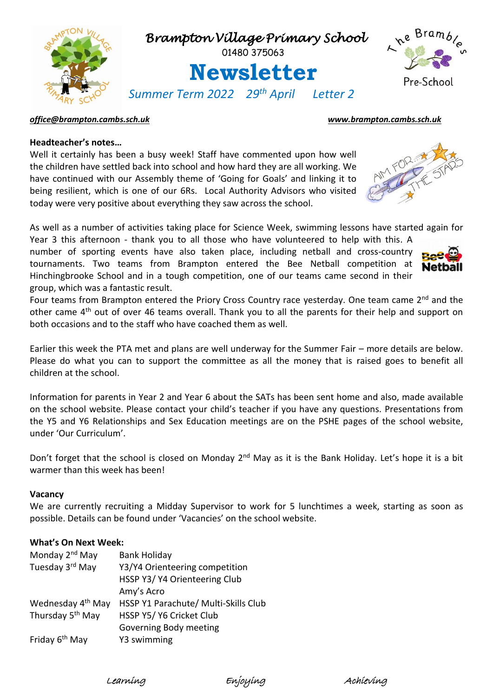

### *[office@brampton.cambs.sch.uk](mailto:office@brampton.cambs.sch.uk) [www.brampton.cambs.sch.uk](http://www.brampton.cambs.sch.uk/)*

### **Headteacher's notes…**

Well it certainly has been a busy week! Staff have commented upon how well the children have settled back into school and how hard they are all working. We have continued with our Assembly theme of 'Going for Goals' and linking it to being resilient, which is one of our 6Rs. Local Authority Advisors who visited today were very positive about everything they saw across the school.

As well as a number of activities taking place for Science Week, swimming lessons have started again for Year 3 this afternoon - thank you to all those who have volunteered to help with this. A

number of sporting events have also taken place, including netball and cross-country tournaments. Two teams from Brampton entered the Bee Netball competition at Hinchingbrooke School and in a tough competition, one of our teams came second in their group, which was a fantastic result.

Four teams from Brampton entered the Priory Cross Country race yesterday. One team came 2<sup>nd</sup> and the other came 4th out of over 46 teams overall. Thank you to all the parents for their help and support on both occasions and to the staff who have coached them as well.

Earlier this week the PTA met and plans are well underway for the Summer Fair – more details are below. Please do what you can to support the committee as all the money that is raised goes to benefit all children at the school.

Information for parents in Year 2 and Year 6 about the SATs has been sent home and also, made available on the school website. Please contact your child's teacher if you have any questions. Presentations from the Y5 and Y6 Relationships and Sex Education meetings are on the PSHE pages of the school website, under 'Our Curriculum'.

Don't forget that the school is closed on Monday 2<sup>nd</sup> May as it is the Bank Holiday. Let's hope it is a bit warmer than this week has been!

#### **Vacancy**

We are currently recruiting a Midday Supervisor to work for 5 lunchtimes a week, starting as soon as possible. Details can be found under 'Vacancies' on the school website.

### **What's On Next Week:**

| Monday 2 <sup>nd</sup> May    | <b>Bank Holiday</b>                  |
|-------------------------------|--------------------------------------|
| Tuesday 3rd May               | Y3/Y4 Orienteering competition       |
|                               | HSSP Y3/ Y4 Orienteering Club        |
|                               | Amy's Acro                           |
| Wednesday 4 <sup>th</sup> May | HSSP Y1 Parachute/ Multi-Skills Club |
| Thursday 5 <sup>th</sup> May  | HSSP Y5/ Y6 Cricket Club             |
|                               | Governing Body meeting               |
| Friday 6 <sup>th</sup> May    | Y3 swimming                          |